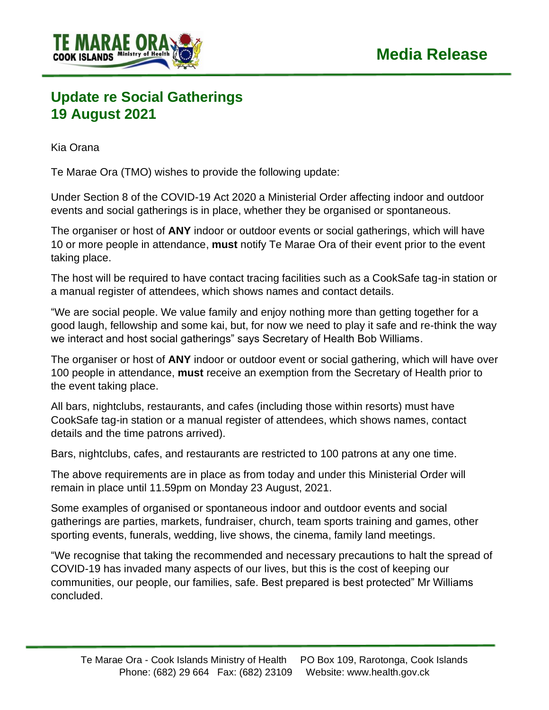

## **Update re Social Gatherings 19 August 2021**

Kia Orana

Te Marae Ora (TMO) wishes to provide the following update:

Under Section 8 of the COVID-19 Act 2020 a Ministerial Order affecting indoor and outdoor events and social gatherings is in place, whether they be organised or spontaneous.

The organiser or host of **ANY** indoor or outdoor events or social gatherings, which will have 10 or more people in attendance, **must** notify Te Marae Ora of their event prior to the event taking place.

The host will be required to have contact tracing facilities such as a CookSafe tag-in station or a manual register of attendees, which shows names and contact details.

"We are social people. We value family and enjoy nothing more than getting together for a good laugh, fellowship and some kai, but, for now we need to play it safe and re-think the way we interact and host social gatherings" says Secretary of Health Bob Williams.

The organiser or host of **ANY** indoor or outdoor event or social gathering, which will have over 100 people in attendance, **must** receive an exemption from the Secretary of Health prior to the event taking place.

All bars, nightclubs, restaurants, and cafes (including those within resorts) must have CookSafe tag-in station or a manual register of attendees, which shows names, contact details and the time patrons arrived).

Bars, nightclubs, cafes, and restaurants are restricted to 100 patrons at any one time.

The above requirements are in place as from today and under this Ministerial Order will remain in place until 11.59pm on Monday 23 August, 2021.

Some examples of organised or spontaneous indoor and outdoor events and social gatherings are parties, markets, fundraiser, church, team sports training and games, other sporting events, funerals, wedding, live shows, the cinema, family land meetings.

"We recognise that taking the recommended and necessary precautions to halt the spread of COVID-19 has invaded many aspects of our lives, but this is the cost of keeping our communities, our people, our families, safe. Best prepared is best protected" Mr Williams concluded.